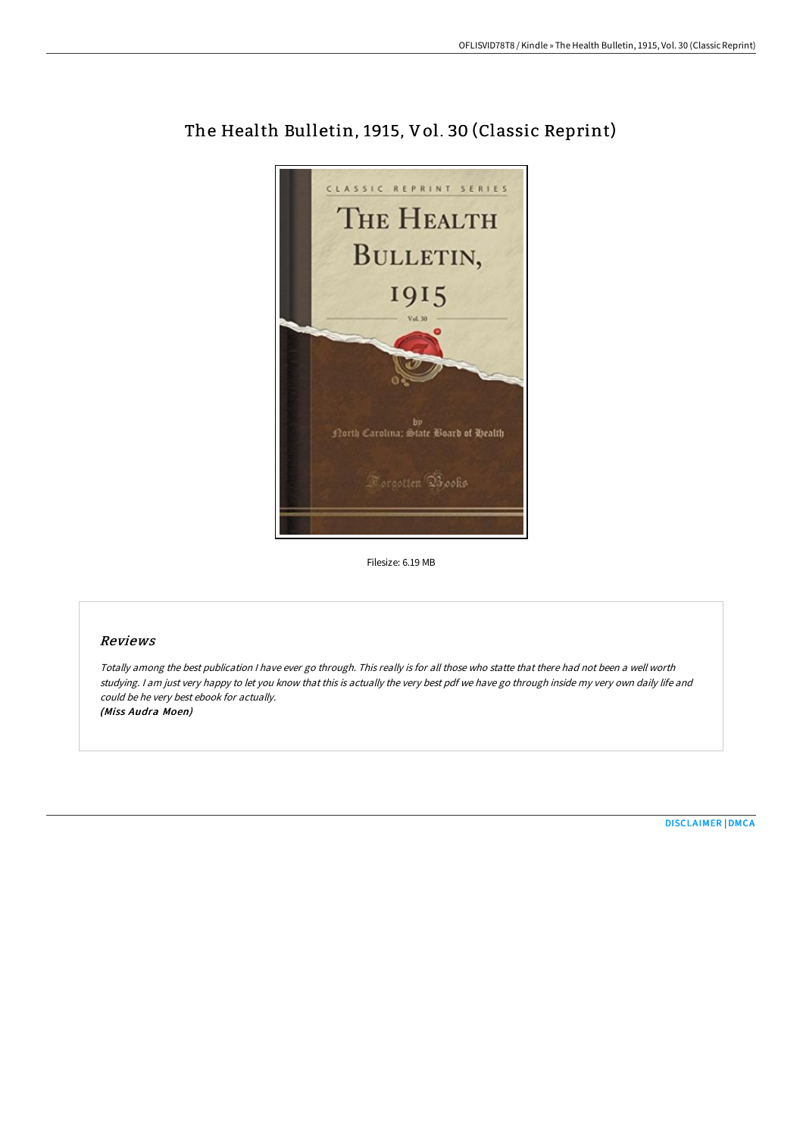

# The Health Bulletin, 1915, Vol. 30 (Classic Reprint)

Filesize: 6.19 MB

## Reviews

Totally among the best publication <sup>I</sup> have ever go through. This really is for all those who statte that there had not been <sup>a</sup> well worth studying. <sup>I</sup> am just very happy to let you know that this is actually the very best pdf we have go through inside my very own daily life and could be he very best ebook for actually. (Miss Audra Moen)

[DISCLAIMER](http://bookera.tech/disclaimer.html) | [DMCA](http://bookera.tech/dmca.html)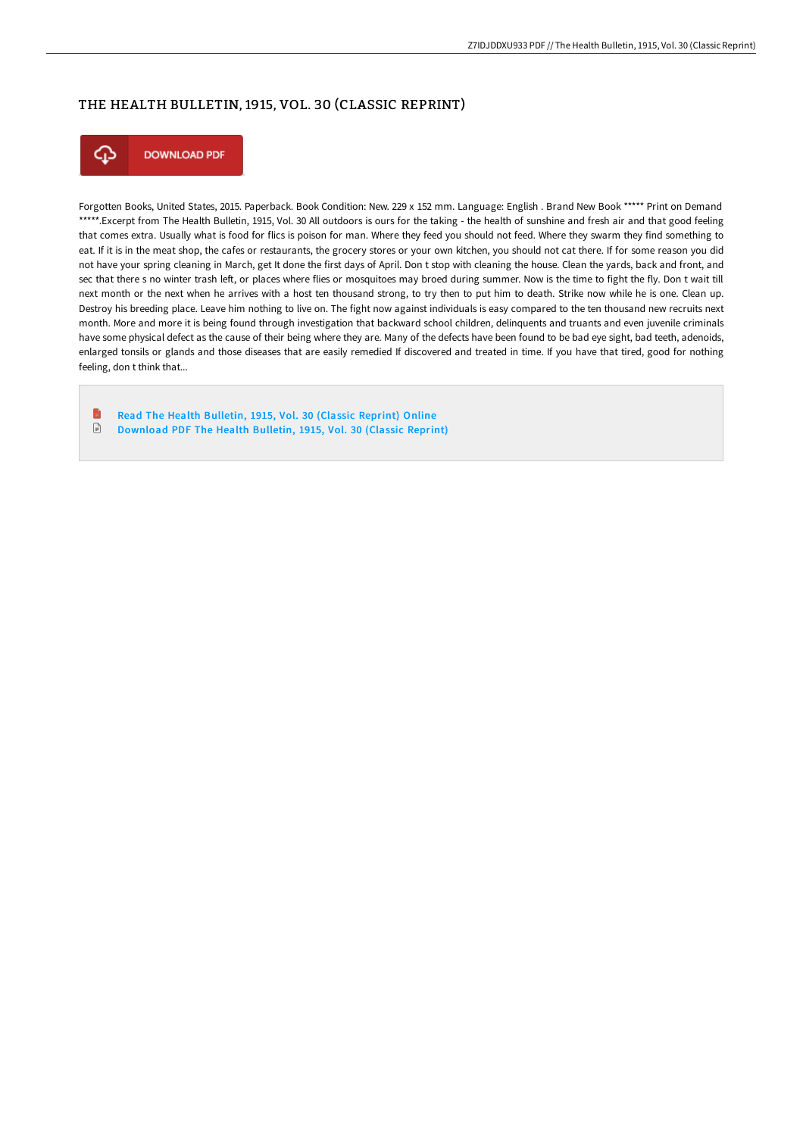## THE HEALTH BULLETIN, 1915, VOL. 30 (CLASSIC REPRINT)



Forgotten Books, United States, 2015. Paperback. Book Condition: New. 229 x 152 mm. Language: English . Brand New Book \*\*\*\*\* Print on Demand \*\*\*\*\*.Excerpt from The Health Bulletin, 1915, Vol. 30 All outdoors is ours for the taking - the health of sunshine and fresh air and that good feeling that comes extra. Usually what is food for flics is poison for man. Where they feed you should not feed. Where they swarm they find something to eat. If it is in the meat shop, the cafes or restaurants, the grocery stores or your own kitchen, you should not cat there. If for some reason you did not have your spring cleaning in March, get It done the first days of April. Don t stop with cleaning the house. Clean the yards, back and front, and sec that there s no winter trash left, or places where flies or mosquitoes may broed during summer. Now is the time to fight the fly. Don t wait till next month or the next when he arrives with a host ten thousand strong, to try then to put him to death. Strike now while he is one. Clean up. Destroy his breeding place. Leave him nothing to live on. The fight now against individuals is easy compared to the ten thousand new recruits next month. More and more it is being found through investigation that backward school children, delinquents and truants and even juvenile criminals have some physical defect as the cause of their being where they are. Many of the defects have been found to be bad eye sight, bad teeth, adenoids, enlarged tonsils or glands and those diseases that are easily remedied If discovered and treated in time. If you have that tired, good for nothing feeling, don t think that...

B Read The Health [Bulletin,](http://bookera.tech/the-health-bulletin-1915-vol-30-classic-reprint-.html) 1915, Vol. 30 (Classic Reprint) Online  $\ensuremath{\mathop{\boxplus}}$ [Download](http://bookera.tech/the-health-bulletin-1915-vol-30-classic-reprint-.html) PDF The Health Bulletin, 1915, Vol. 30 (Classic Reprint)